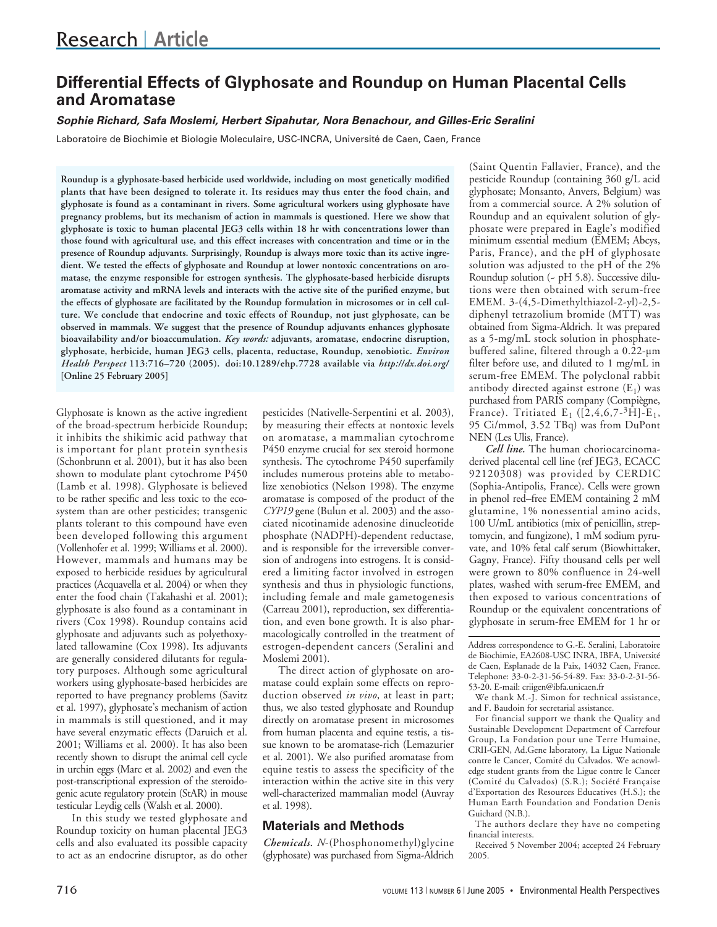# **Differential Effects of Glyphosate and Roundup on Human Placental Cells and Aromatase**

## **Sophie Richard, Safa Moslemi, Herbert Sipahutar, Nora Benachour, and Gilles-Eric Seralini**

Laboratoire de Biochimie et Biologie Moleculaire, USC-INCRA, Université de Caen, Caen, France

**Roundup is a glyphosate-based herbicide used worldwide, including on most genetically modified plants that have been designed to tolerate it. Its residues may thus enter the food chain, and glyphosate is found as a contaminant in rivers. Some agricultural workers using glyphosate have pregnancy problems, but its mechanism of action in mammals is questioned. Here we show that glyphosate is toxic to human placental JEG3 cells within 18 hr with concentrations lower than those found with agricultural use, and this effect increases with concentration and time or in the presence of Roundup adjuvants. Surprisingly, Roundup is always more toxic than its active ingredient. We tested the effects of glyphosate and Roundup at lower nontoxic concentrations on aromatase, the enzyme responsible for estrogen synthesis. The glyphosate-based herbicide disrupts aromatase activity and mRNA levels and interacts with the active site of the purified enzyme, but the effects of glyphosate are facilitated by the Roundup formulation in microsomes or in cell culture. We conclude that endocrine and toxic effects of Roundup, not just glyphosate, can be observed in mammals. We suggest that the presence of Roundup adjuvants enhances glyphosate bioavailability and/or bioaccumulation.** *Key words:* **adjuvants, aromatase, endocrine disruption, glyphosate, herbicide, human JEG3 cells, placenta, reductase, Roundup, xenobiotic.** *Environ Health Perspect* **113:716–720 (2005). doi:10.1289/ehp.7728 available via** *http://dx.doi.org/* **[Online 25 February 2005]**

Glyphosate is known as the active ingredient of the broad-spectrum herbicide Roundup; it inhibits the shikimic acid pathway that is important for plant protein synthesis (Schonbrunn et al. 2001), but it has also been shown to modulate plant cytochrome P450 (Lamb et al. 1998). Glyphosate is believed to be rather specific and less toxic to the ecosystem than are other pesticides; transgenic plants tolerant to this compound have even been developed following this argument (Vollenhofer et al. 1999; Williams et al. 2000). However, mammals and humans may be exposed to herbicide residues by agricultural practices (Acquavella et al. 2004) or when they enter the food chain (Takahashi et al. 2001); glyphosate is also found as a contaminant in rivers (Cox 1998). Roundup contains acid glyphosate and adjuvants such as polyethoxylated tallowamine (Cox 1998). Its adjuvants are generally considered dilutants for regulatory purposes. Although some agricultural workers using glyphosate-based herbicides are reported to have pregnancy problems (Savitz et al. 1997), glyphosate's mechanism of action in mammals is still questioned, and it may have several enzymatic effects (Daruich et al. 2001; Williams et al. 2000). It has also been recently shown to disrupt the animal cell cycle in urchin eggs (Marc et al. 2002) and even the post-transcriptional expression of the steroidogenic acute regulatory protein (StAR) in mouse testicular Leydig cells (Walsh et al. 2000).

In this study we tested glyphosate and Roundup toxicity on human placental JEG3 cells and also evaluated its possible capacity to act as an endocrine disruptor, as do other

pesticides (Nativelle-Serpentini et al. 2003), by measuring their effects at nontoxic levels on aromatase, a mammalian cytochrome P450 enzyme crucial for sex steroid hormone synthesis. The cytochrome P450 superfamily includes numerous proteins able to metabolize xenobiotics (Nelson 1998). The enzyme aromatase is composed of the product of the *CYP19* gene (Bulun et al. 2003) and the associated nicotinamide adenosine dinucleotide phosphate (NADPH)-dependent reductase, and is responsible for the irreversible conversion of androgens into estrogens. It is considered a limiting factor involved in estrogen synthesis and thus in physiologic functions, including female and male gametogenesis (Carreau 2001), reproduction, sex differentiation, and even bone growth. It is also pharmacologically controlled in the treatment of estrogen-dependent cancers (Seralini and Moslemi 2001).

The direct action of glyphosate on aromatase could explain some effects on reproduction observed *in vivo*, at least in part; thus, we also tested glyphosate and Roundup directly on aromatase present in microsomes from human placenta and equine testis, a tissue known to be aromatase-rich (Lemazurier et al. 2001). We also purified aromatase from equine testis to assess the specificity of the interaction within the active site in this very well-characterized mammalian model (Auvray et al. 1998).

# **Materials and Methods**

*Chemicals. N*-(Phosphonomethyl)glycine (glyphosate) was purchased from Sigma-Aldrich

(Saint Quentin Fallavier, France), and the pesticide Roundup (containing 360 g/L acid glyphosate; Monsanto, Anvers, Belgium) was from a commercial source. A 2% solution of Roundup and an equivalent solution of glyphosate were prepared in Eagle's modified minimum essential medium (EMEM; Abcys, Paris, France), and the pH of glyphosate solution was adjusted to the pH of the 2% Roundup solution (~ pH 5.8). Successive dilutions were then obtained with serum-free EMEM. 3-(4,5-Dimethylthiazol-2-yl)-2,5 diphenyl tetrazolium bromide (MTT) was obtained from Sigma-Aldrich. It was prepared as a 5-mg/mL stock solution in phosphatebuffered saline, filtered through a 0.22-µm filter before use, and diluted to 1 mg/mL in serum-free EMEM. The polyclonal rabbit antibody directed against estrone  $(E_1)$  was purchased from PARIS company (Compiègne, France). Tritiated  $E_1$  ([2,4,6,7-<sup>3</sup>H]- $E_1$ , 95 Ci/mmol, 3.52 TBq) was from DuPont NEN (Les Ulis, France).

*Cell line.* The human choriocarcinomaderived placental cell line (ref JEG3, ECACC 92120308) was provided by CERDIC (Sophia-Antipolis, France). Cells were grown in phenol red–free EMEM containing 2 mM glutamine, 1% nonessential amino acids, 100 U/mL antibiotics (mix of penicillin, streptomycin, and fungizone), 1 mM sodium pyruvate, and 10% fetal calf serum (Biowhittaker, Gagny, France). Fifty thousand cells per well were grown to 80% confluence in 24-well plates, washed with serum-free EMEM, and then exposed to various concentrations of Roundup or the equivalent concentrations of glyphosate in serum-free EMEM for 1 hr or

Address correspondence to G.-E. Seralini, Laboratoire de Biochimie, EA2608-USC INRA, IBFA, Université de Caen, Esplanade de la Paix, 14032 Caen, France. Telephone: 33-0-2-31-56-54-89. Fax: 33-0-2-31-56- 53-20. E-mail: criigen@ibfa.unicaen.fr

We thank M.-J. Simon for technical assistance, and F. Baudoin for secretarial assistance.

For financial support we thank the Quality and Sustainable Development Department of Carrefour Group, La Fondation pour une Terre Humaine, CRII-GEN, Ad.Gene laboratory, La Ligue Nationale contre le Cancer, Comité du Calvados. We acnowledge student grants from the Ligue contre le Cancer (Comité du Calvados) (S.R.); Société Française d'Exportation des Resources Educatives (H.S.); the Human Earth Foundation and Fondation Denis Guichard (N.B.).

The authors declare they have no competing financial interests.

Received 5 November 2004; accepted 24 February 2005.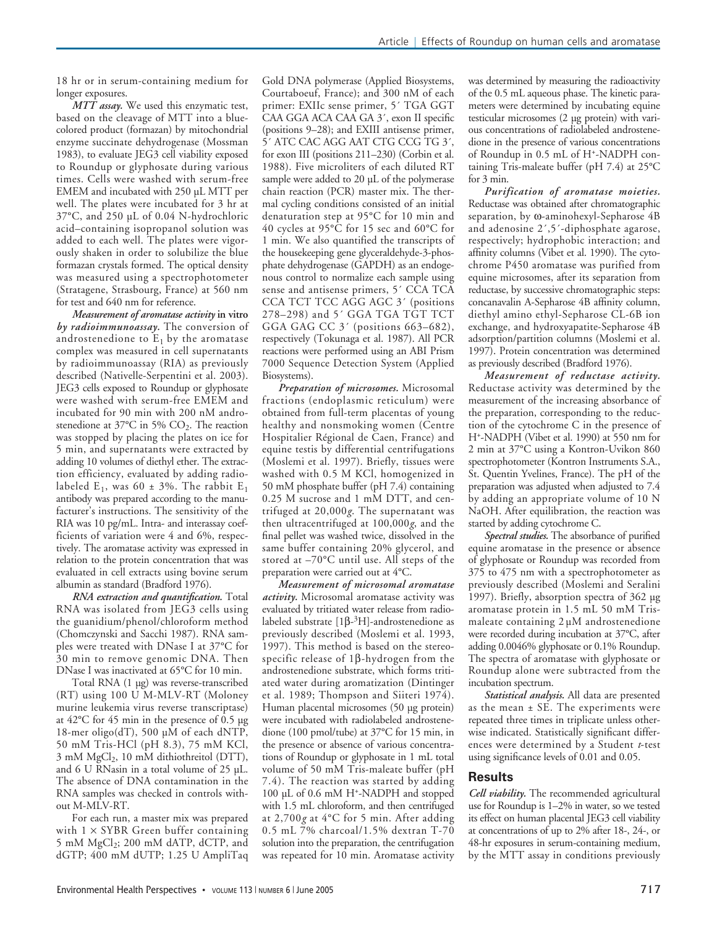18 hr or in serum-containing medium for longer exposures.

*MTT assay.* We used this enzymatic test, based on the cleavage of MTT into a bluecolored product (formazan) by mitochondrial enzyme succinate dehydrogenase (Mossman 1983), to evaluate JEG3 cell viability exposed to Roundup or glyphosate during various times. Cells were washed with serum-free EMEM and incubated with 250 µL MTT per well. The plates were incubated for 3 hr at 37°C, and 250 µL of 0.04 N-hydrochloric acid–containing isopropanol solution was added to each well. The plates were vigorously shaken in order to solubilize the blue formazan crystals formed. The optical density was measured using a spectrophotometer (Stratagene, Strasbourg, France) at 560 nm for test and 640 nm for reference.

*Measurement of aromatase activity* **in vitro** *by radioimmunoassay.* The conversion of androstenedione to  $E_1$  by the aromatase complex was measured in cell supernatants by radioimmunoassay (RIA) as previously described (Nativelle-Serpentini et al. 2003). JEG3 cells exposed to Roundup or glyphosate were washed with serum-free EMEM and incubated for 90 min with 200 nM androstenedione at 37°C in 5%  $CO<sub>2</sub>$ . The reaction was stopped by placing the plates on ice for 5 min, and supernatants were extracted by adding 10 volumes of diethyl ether. The extraction efficiency, evaluated by adding radiolabeled E<sub>1</sub>, was 60 ± 3%. The rabbit E<sub>1</sub> antibody was prepared according to the manufacturer's instructions. The sensitivity of the RIA was 10 pg/mL. Intra- and interassay coefficients of variation were 4 and 6%, respectively. The aromatase activity was expressed in relation to the protein concentration that was evaluated in cell extracts using bovine serum albumin as standard (Bradford 1976).

*RNA extraction and quantification.* Total RNA was isolated from JEG3 cells using the guanidium/phenol/chloroform method (Chomczynski and Sacchi 1987). RNA samples were treated with DNase I at 37°C for 30 min to remove genomic DNA. Then DNase I was inactivated at 65°C for 10 min.

Total RNA (1 µg) was reverse-transcribed (RT) using 100 U M-MLV-RT (Moloney murine leukemia virus reverse transcriptase) at 42°C for 45 min in the presence of 0.5 µg 18-mer oligo(dT), 500 µM of each dNTP, 50 mM Tris-HCl (pH 8.3), 75 mM KCl, 3 mM MgCl<sub>2</sub>, 10 mM dithiothreitol (DTT), and 6 U RNasin in a total volume of 25 µL. The absence of DNA contamination in the RNA samples was checked in controls without M-MLV-RT.

For each run, a master mix was prepared with  $1 \times SYBR$  Green buffer containing 5 mM  $MgCl<sub>2</sub>$ ; 200 mM dATP, dCTP, and dGTP; 400 mM dUTP; 1.25 U AmpliTaq Gold DNA polymerase (Applied Biosystems, Courtaboeuf, France); and 300 nM of each primer: EXIIc sense primer, 5´ TGA GGT CAA GGA ACA CAA GA 3´, exon II specific (positions 9–28); and EXIII antisense primer, 5´ ATC CAC AGG AAT CTG CCG TG 3´, for exon III (positions 211–230) (Corbin et al. 1988). Five microliters of each diluted RT sample were added to 20 µL of the polymerase chain reaction (PCR) master mix. The thermal cycling conditions consisted of an initial denaturation step at 95°C for 10 min and 40 cycles at 95°C for 15 sec and 60°C for 1 min. We also quantified the transcripts of the housekeeping gene glyceraldehyde-3-phosphate dehydrogenase (GAPDH) as an endogenous control to normalize each sample using sense and antisense primers, 5´ CCA TCA CCA TCT TCC AGG AGC 3´ (positions 278–298) and 5´ GGA TGA TGT TCT GGA GAG CC 3' (positions 663-682), respectively (Tokunaga et al. 1987). All PCR reactions were performed using an ABI Prism 7000 Sequence Detection System (Applied Biosystems).

*Preparation of microsomes.* Microsomal fractions (endoplasmic reticulum) were obtained from full-term placentas of young healthy and nonsmoking women (Centre Hospitalier Régional de Caen, France) and equine testis by differential centrifugations (Moslemi et al. 1997). Briefly, tissues were washed with 0.5 M KCl, homogenized in 50 mM phosphate buffer (pH 7.4) containing 0.25 M sucrose and 1 mM DTT, and centrifuged at 20,000*g*. The supernatant was then ultracentrifuged at 100,000*g*, and the final pellet was washed twice, dissolved in the same buffer containing 20% glycerol, and stored at –70°C until use. All steps of the preparation were carried out at 4°C.

*Measurement of microsomal aromatase activity.* Microsomal aromatase activity was evaluated by tritiated water release from radiolabeled substrate [ $1β-³H$ ]-androstenedione as previously described (Moslemi et al. 1993, 1997). This method is based on the stereospecific release of 1β-hydrogen from the androstenedione substrate, which forms tritiated water during aromatization (Dintinger et al. 1989; Thompson and Siiteri 1974). Human placental microsomes (50 µg protein) were incubated with radiolabeled androstenedione (100 pmol/tube) at 37°C for 15 min, in the presence or absence of various concentrations of Roundup or glyphosate in 1 mL total volume of 50 mM Tris-maleate buffer (pH 7.4). The reaction was started by adding 100 µL of 0.6 mM H+-NADPH and stopped with 1.5 mL chloroform, and then centrifuged at 2,700*g* at 4°C for 5 min. After adding 0.5 mL 7% charcoal/1.5% dextran T-70 solution into the preparation, the centrifugation was repeated for 10 min. Aromatase activity

was determined by measuring the radioactivity of the 0.5 mL aqueous phase. The kinetic parameters were determined by incubating equine testicular microsomes (2 µg protein) with various concentrations of radiolabeled androstenedione in the presence of various concentrations of Roundup in 0.5 mL of H+-NADPH containing Tris-maleate buffer (pH 7.4) at 25°C for 3 min.

*Purification of aromatase moieties.* Reductase was obtained after chromatographic separation, by ω-aminohexyl-Sepharose 4B and adenosine 2´,5´-diphosphate agarose, respectively; hydrophobic interaction; and affinity columns (Vibet et al. 1990). The cytochrome P450 aromatase was purified from equine microsomes, after its separation from reductase, by successive chromatographic steps: concanavalin A-Sepharose 4B affinity column, diethyl amino ethyl-Sepharose CL-6B ion exchange, and hydroxyapatite-Sepharose 4B adsorption/partition columns (Moslemi et al. 1997). Protein concentration was determined as previously described (Bradford 1976).

*Measurement of reductase activity.* Reductase activity was determined by the measurement of the increasing absorbance of the preparation, corresponding to the reduction of the cytochrome C in the presence of H+-NADPH (Vibet et al. 1990) at 550 nm for 2 min at 37°C using a Kontron-Uvikon 860 spectrophotometer (Kontron Instruments S.A., St. Quentin Yvelines, France). The pH of the preparation was adjusted when adjusted to 7.4 by adding an appropriate volume of 10 N NaOH. After equilibration, the reaction was started by adding cytochrome C.

*Spectral studies.* The absorbance of purified equine aromatase in the presence or absence of glyphosate or Roundup was recorded from 375 to 475 nm with a spectrophotometer as previously described (Moslemi and Seralini 1997). Briefly, absorption spectra of 362 µg aromatase protein in 1.5 mL 50 mM Trismaleate containing 2 µM androstenedione were recorded during incubation at 37°C, after adding 0.0046% glyphosate or 0.1% Roundup. The spectra of aromatase with glyphosate or Roundup alone were subtracted from the incubation spectrum.

*Statistical analysis.* All data are presented as the mean ± SE. The experiments were repeated three times in triplicate unless otherwise indicated. Statistically significant differences were determined by a Student *t*-test using significance levels of 0.01 and 0.05.

# **Results**

*Cell viability.* The recommended agricultural use for Roundup is 1–2% in water, so we tested its effect on human placental JEG3 cell viability at concentrations of up to 2% after 18-, 24-, or 48-hr exposures in serum-containing medium, by the MTT assay in conditions previously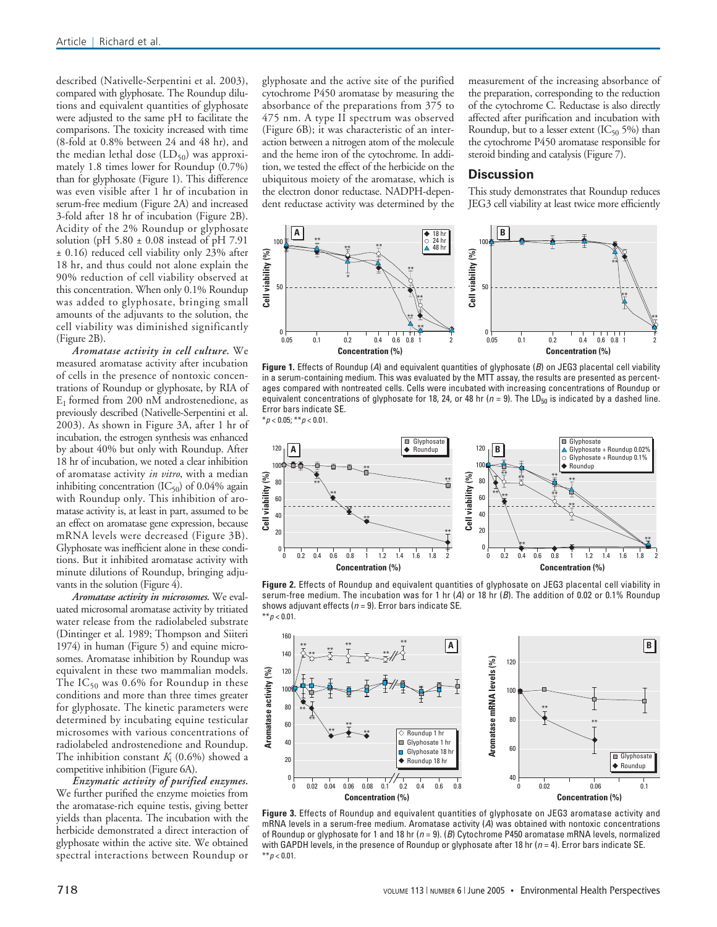described (Nativelle-Serpentini et al. 2003), compared with glyphosate. The Roundup dilutions and equivalent quantities of glyphosate were adjusted to the same pH to facilitate the comparisons. The toxicity increased with time (8-fold at 0.8% between 24 and 48 hr), and the median lethal dose  $(LD_{50})$  was approximately 1.8 times lower for Roundup (0.7%) than for glyphosate (Figure 1). This difference was even visible after 1 hr of incubation in serum-free medium (Figure 2A) and increased 3-fold after 18 hr of incubation (Figure 2B). Acidity of the 2% Roundup or glyphosate solution (pH  $5.80 \pm 0.08$  instead of pH 7.91 ± 0.16) reduced cell viability only 23% after 18 hr, and thus could not alone explain the 90% reduction of cell viability observed at this concentration. When only 0.1% Roundup was added to glyphosate, bringing small amounts of the adjuvants to the solution, the cell viability was diminished significantly (Figure 2B).

*Aromatase activity in cell culture.* We measured aromatase activity after incubation of cells in the presence of nontoxic concentrations of Roundup or glyphosate, by RIA of  $E_1$  formed from 200 nM androstenedione, as previously described (Nativelle-Serpentini et al. 2003). As shown in Figure 3A, after 1 hr of incubation, the estrogen synthesis was enhanced by about 40% but only with Roundup. After 18 hr of incubation, we noted a clear inhibition of aromatase activity *in vitro*, with a median inhibiting concentration  $(IC_{50})$  of 0.04% again with Roundup only. This inhibition of aromatase activity is, at least in part, assumed to be an effect on aromatase gene expression, because mRNA levels were decreased (Figure 3B). Glyphosate was inefficient alone in these conditions. But it inhibited aromatase activity with minute dilutions of Roundup, bringing adjuvants in the solution (Figure 4).

*Aromatase activity in microsomes.* We evaluated microsomal aromatase activity by tritiated water release from the radiolabeled substrate (Dintinger et al. 1989; Thompson and Siiteri 1974) in human (Figure 5) and equine microsomes. Aromatase inhibition by Roundup was equivalent in these two mammalian models. The  $IC_{50}$  was 0.6% for Roundup in these conditions and more than three times greater for glyphosate. The kinetic parameters were determined by incubating equine testicular microsomes with various concentrations of radiolabeled androstenedione and Roundup. The inhibition constant *K*<sup>i</sup> (0.6%) showed a competitive inhibition (Figure 6A).

*Enzymatic activity of purified enzymes.* We further purified the enzyme moieties from the aromatase-rich equine testis, giving better yields than placenta. The incubation with the herbicide demonstrated a direct interaction of glyphosate within the active site. We obtained spectral interactions between Roundup or

glyphosate and the active site of the purified cytochrome P450 aromatase by measuring the absorbance of the preparations from 375 to 475 nm. A type II spectrum was observed (Figure 6B); it was characteristic of an interaction between a nitrogen atom of the molecule and the heme iron of the cytochrome. In addition, we tested the effect of the herbicide on the ubiquitous moiety of the aromatase, which is the electron donor reductase. NADPH-dependent reductase activity was determined by the

measurement of the increasing absorbance of the preparation, corresponding to the reduction of the cytochrome C. Reductase is also directly affected after purification and incubation with Roundup, but to a lesser extent  $(IC_{50} 5%)$  than the cytochrome P450 aromatase responsible for steroid binding and catalysis (Figure 7).

#### **Discussion**

This study demonstrates that Roundup reduces JEG3 cell viability at least twice more efficiently



**Figure 1.** Effects of Roundup (A) and equivalent quantities of glyphosate (B) on JEG3 placental cell viability in a serum-containing medium. This was evaluated by the MTT assay, the results are presented as percentages compared with nontreated cells. Cells were incubated with increasing concentrations of Roundup or equivalent concentrations of glyphosate for 18, 24, or 48 hr ( $n = 9$ ). The LD<sub>50</sub> is indicated by a dashed line. Error bars indicate SE.  $*_{p < 0.05; **p < 0.01.}$ 



**Figure 2.** Effects of Roundup and equivalent quantities of glyphosate on JEG3 placental cell viability in serum-free medium. The incubation was for 1 hr  $(A)$  or 18 hr  $(B)$ . The addition of 0.02 or 0.1% Roundup shows adjuvant effects ( $n = 9$ ). Error bars indicate SE. \*\* $p < 0.01$ .



**Figure 3.** Effects of Roundup and equivalent quantities of glyphosate on JEG3 aromatase activity and mRNA levels in a serum-free medium. Aromatase activity (A) was obtained with nontoxic concentrations of Roundup or glyphosate for 1 and 18 hr ( $n = 9$ ). (B) Cytochrome P450 aromatase mRNA levels, normalized with GAPDH levels, in the presence of Roundup or glyphosate after 18 hr ( $n = 4$ ). Error bars indicate SE.  $**p < 0.01$ .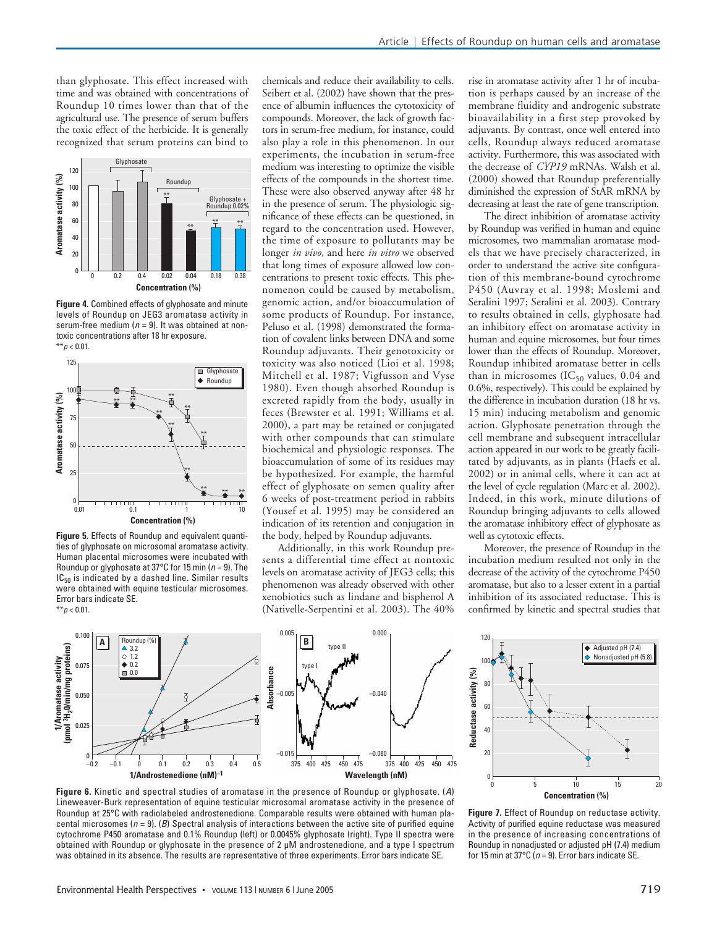than glyphosate. This effect increased with time and was obtained with concentrations of Roundup 10 times lower than that of the agricultural use. The presence of serum buffers the toxic effect of the herbicide. It is generally recognized that serum proteins can bind to



**Figure 4.** Combined effects of glyphosate and minute levels of Roundup on JEG3 aromatase activity in serum-free medium ( $n = 9$ ). It was obtained at nontoxic concentrations after 18 hr exposure.  $**p < 0.01$ .



**Figure 5.** Effects of Roundup and equivalent quantities of glyphosate on microsomal aromatase activity. Human placental microsomes were incubated with Roundup or glyphosate at 37°C for 15 min ( $n = 9$ ). The  $IC_{50}$  is indicated by a dashed line. Similar results were obtained with equine testicular microsomes. Error bars indicate SE.  $**p < 0.01$ .

chemicals and reduce their availability to cells. Seibert et al. (2002) have shown that the presence of albumin influences the cytotoxicity of compounds. Moreover, the lack of growth factors in serum-free medium, for instance, could also play a role in this phenomenon. In our experiments, the incubation in serum-free medium was interesting to optimize the visible effects of the compounds in the shortest time. These were also observed anyway after 48 hr in the presence of serum. The physiologic significance of these effects can be questioned, in regard to the concentration used. However, the time of exposure to pollutants may be longer *in vivo*, and here *in vitro* we observed that long times of exposure allowed low concentrations to present toxic effects. This phenomenon could be caused by metabolism, genomic action, and/or bioaccumulation of some products of Roundup. For instance, Peluso et al. (1998) demonstrated the formation of covalent links between DNA and some Roundup adjuvants. Their genotoxicity or toxicity was also noticed (Lioi et al. 1998; Mitchell et al. 1987; Vigfusson and Vyse 1980). Even though absorbed Roundup is excreted rapidly from the body, usually in feces (Brewster et al. 1991; Williams et al. 2000), a part may be retained or conjugated with other compounds that can stimulate biochemical and physiologic responses. The bioaccumulation of some of its residues may be hypothesized. For example, the harmful effect of glyphosate on semen quality after 6 weeks of post-treatment period in rabbits (Yousef et al. 1995) may be considered an indication of its retention and conjugation in the body, helped by Roundup adjuvants.

Additionally, in this work Roundup presents a differential time effect at nontoxic levels on aromatase activity of JEG3 cells; this phenomenon was already observed with other xenobiotics such as lindane and bisphenol A (Nativelle-Serpentini et al. 2003). The 40%

rise in aromatase activity after 1 hr of incubation is perhaps caused by an increase of the membrane fluidity and androgenic substrate bioavailability in a first step provoked by adjuvants. By contrast, once well entered into cells, Roundup always reduced aromatase activity. Furthermore, this was associated with the decrease of *CYP19* mRNAs. Walsh et al. (2000) showed that Roundup preferentially diminished the expression of StAR mRNA by decreasing at least the rate of gene transcription.

The direct inhibition of aromatase activity by Roundup was verified in human and equine microsomes, two mammalian aromatase models that we have precisely characterized, in order to understand the active site configuration of this membrane-bound cytochrome P450 (Auvray et al. 1998; Moslemi and Seralini 1997; Seralini et al. 2003). Contrary to results obtained in cells, glyphosate had an inhibitory effect on aromatase activity in human and equine microsomes, but four times lower than the effects of Roundup. Moreover, Roundup inhibited aromatase better in cells than in microsomes (IC<sub>50</sub> values, 0.04 and 0.6%, respectively). This could be explained by the difference in incubation duration (18 hr vs. 15 min) inducing metabolism and genomic action. Glyphosate penetration through the cell membrane and subsequent intracellular action appeared in our work to be greatly facilitated by adjuvants, as in plants (Haefs et al. 2002) or in animal cells, where it can act at the level of cycle regulation (Marc et al. 2002). Indeed, in this work, minute dilutions of Roundup bringing adjuvants to cells allowed the aromatase inhibitory effect of glyphosate as well as cytotoxic effects.

Moreover, the presence of Roundup in the incubation medium resulted not only in the decrease of the activity of the cytochrome P450 aromatase, but also to a lesser extent in a partial inhibition of its associated reductase. This is confirmed by kinetic and spectral studies that



**Figure 6.** Kinetic and spectral studies of aromatase in the presence of Roundup or glyphosate. (A) Lineweaver-Burk representation of equine testicular microsomal aromatase activity in the presence of Roundup at 25°C with radiolabeled androstenedione. Comparable results were obtained with human placental microsomes ( $n = 9$ ). (B) Spectral analysis of interactions between the active site of purified equine cytochrome P450 aromatase and 0.1% Roundup (left) or 0.0045% glyphosate (right). Type II spectra were obtained with Roundup or glyphosate in the presence of 2 µM androstenedione, and a type I spectrum was obtained in its absence. The results are representative of three experiments. Error bars indicate SE.



**Figure 7.** Effect of Roundup on reductase activity. Activity of purified equine reductase was measured in the presence of increasing concentrations of Roundup in nonadjusted or adjusted pH (7.4) medium for 15 min at 37°C ( $n = 9$ ). Error bars indicate SE.